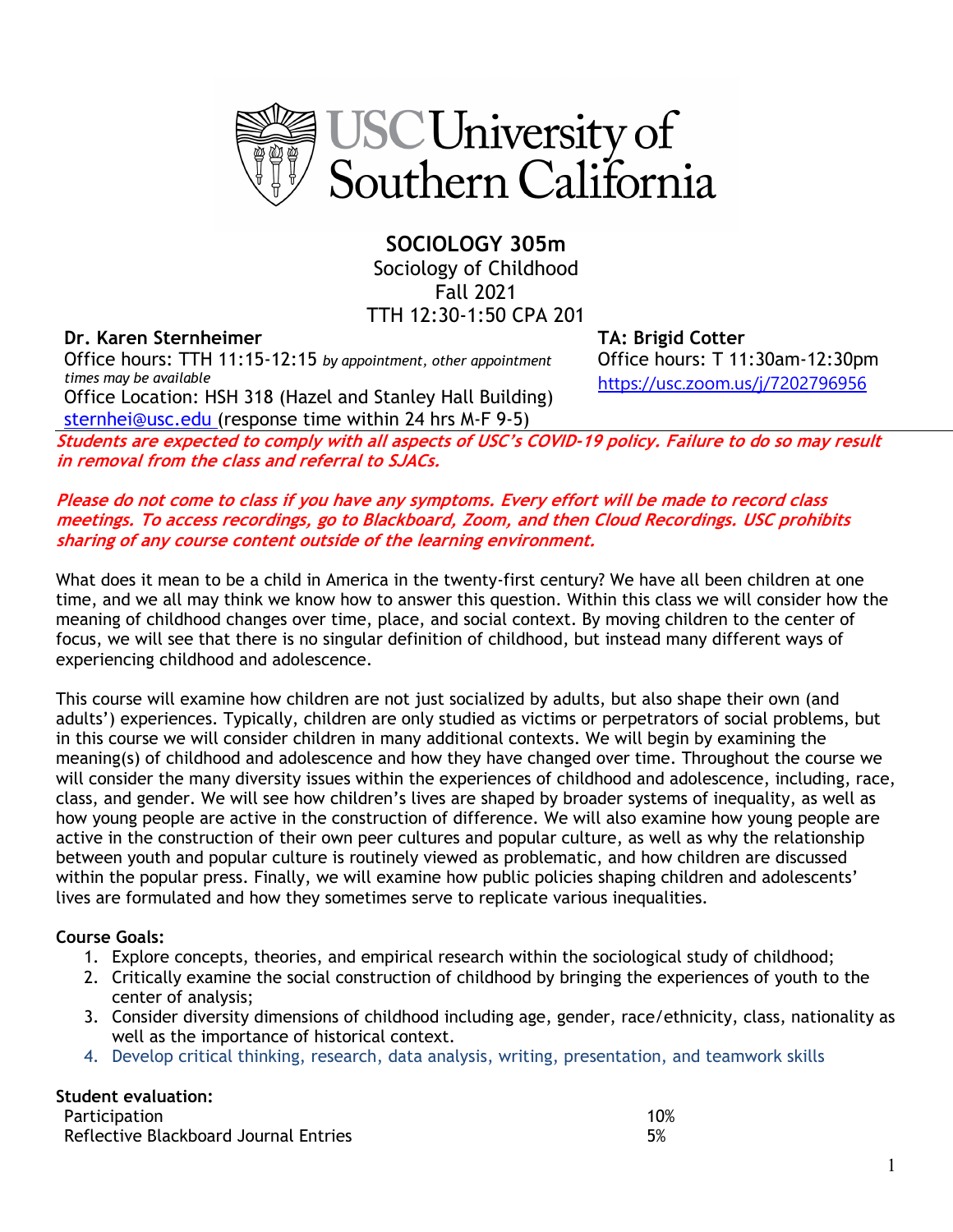

**SOCIOLOGY 305m**  Sociology of Childhood Fall 2021 TTH 12:30-1:50 CPA 201

# **Dr. Karen Sternheimer TA: Brigid Cotter**

Office hours: TTH 11:15-12:15 *by appointment, other appointment times may be available* Office Location: HSH 318 (Hazel and Stanley Hall Building)

sternhei@usc.edu (response time within 24 hrs M-F 9-5)

Office hours: T 11:30am-12:30pm https://usc.zoom.us/j/7202796956

**Students are expected to comply with all aspects of USC's COVID-19 policy. Failure to do so may result in removal from the class and referral to SJACs.**

# **Please do not come to class if you have any symptoms. Every effort will be made to record class meetings. To access recordings, go to Blackboard, Zoom, and then Cloud Recordings. USC prohibits sharing of any course content outside of the learning environment.**

What does it mean to be a child in America in the twenty-first century? We have all been children at one time, and we all may think we know how to answer this question. Within this class we will consider how the meaning of childhood changes over time, place, and social context. By moving children to the center of focus, we will see that there is no singular definition of childhood, but instead many different ways of experiencing childhood and adolescence.

This course will examine how children are not just socialized by adults, but also shape their own (and adults') experiences. Typically, children are only studied as victims or perpetrators of social problems, but in this course we will consider children in many additional contexts. We will begin by examining the meaning(s) of childhood and adolescence and how they have changed over time. Throughout the course we will consider the many diversity issues within the experiences of childhood and adolescence, including, race, class, and gender. We will see how children's lives are shaped by broader systems of inequality, as well as how young people are active in the construction of difference. We will also examine how young people are active in the construction of their own peer cultures and popular culture, as well as why the relationship between youth and popular culture is routinely viewed as problematic, and how children are discussed within the popular press. Finally, we will examine how public policies shaping children and adolescents' lives are formulated and how they sometimes serve to replicate various inequalities.

# **Course Goals:**

- 1. Explore concepts, theories, and empirical research within the sociological study of childhood;
- 2. Critically examine the social construction of childhood by bringing the experiences of youth to the center of analysis;
- 3. Consider diversity dimensions of childhood including age, gender, race/ethnicity, class, nationality as well as the importance of historical context.
- 4. Develop critical thinking, research, data analysis, writing, presentation, and teamwork skills

# **Student evaluation:**

| Participation                         | 10% |
|---------------------------------------|-----|
| Reflective Blackboard Journal Entries |     |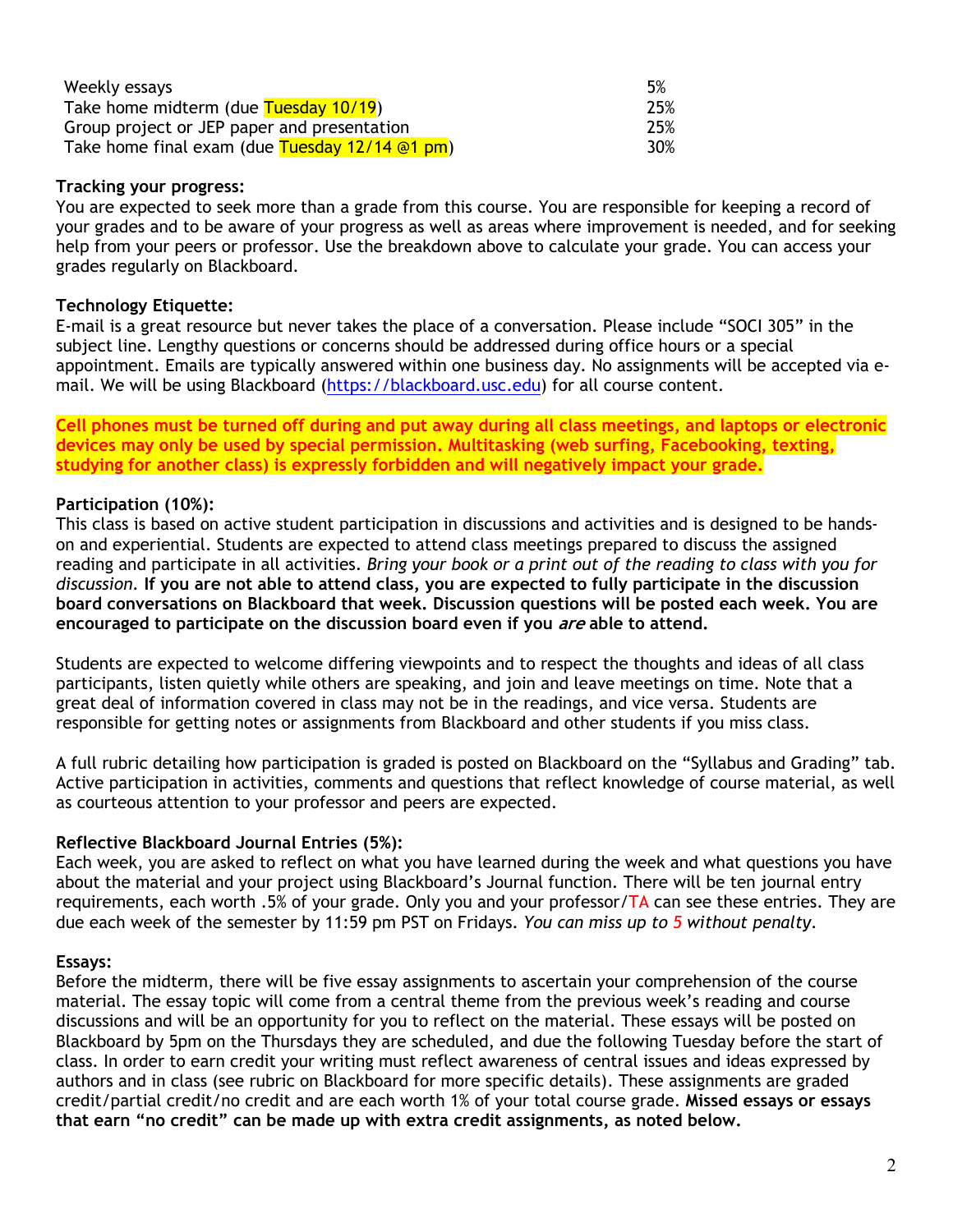| Weekly essays                                    | 5%  |
|--------------------------------------------------|-----|
| Take home midterm (due Tuesday 10/19)            | 25% |
| Group project or JEP paper and presentation      | 25% |
| Take home final exam (due Tuesday $12/14$ @1 pm) | 30% |

# **Tracking your progress:**

You are expected to seek more than a grade from this course. You are responsible for keeping a record of your grades and to be aware of your progress as well as areas where improvement is needed, and for seeking help from your peers or professor. Use the breakdown above to calculate your grade. You can access your grades regularly on Blackboard.

### **Technology Etiquette:**

E-mail is a great resource but never takes the place of a conversation. Please include "SOCI 305" in the subject line. Lengthy questions or concerns should be addressed during office hours or a special appointment. Emails are typically answered within one business day. No assignments will be accepted via email. We will be using Blackboard (https://blackboard.usc.edu) for all course content.

**Cell phones must be turned off during and put away during all class meetings, and laptops or electronic devices may only be used by special permission. Multitasking (web surfing, Facebooking, texting, studying for another class) is expressly forbidden and will negatively impact your grade.**

### **Participation (10%):**

This class is based on active student participation in discussions and activities and is designed to be handson and experiential. Students are expected to attend class meetings prepared to discuss the assigned reading and participate in all activities. *Bring your book or a print out of the reading to class with you for discussion.* **If you are not able to attend class, you are expected to fully participate in the discussion board conversations on Blackboard that week. Discussion questions will be posted each week. You are encouraged to participate on the discussion board even if you are able to attend.**

Students are expected to welcome differing viewpoints and to respect the thoughts and ideas of all class participants, listen quietly while others are speaking, and join and leave meetings on time. Note that a great deal of information covered in class may not be in the readings, and vice versa. Students are responsible for getting notes or assignments from Blackboard and other students if you miss class.

A full rubric detailing how participation is graded is posted on Blackboard on the "Syllabus and Grading" tab. Active participation in activities, comments and questions that reflect knowledge of course material, as well as courteous attention to your professor and peers are expected.

# **Reflective Blackboard Journal Entries (5%):**

Each week, you are asked to reflect on what you have learned during the week and what questions you have about the material and your project using Blackboard's Journal function. There will be ten journal entry requirements, each worth .5% of your grade. Only you and your professor/ $TA$  can see these entries. They are due each week of the semester by 11:59 pm PST on Fridays. *You can miss up to 5 without penalty*.

#### **Essays:**

Before the midterm, there will be five essay assignments to ascertain your comprehension of the course material. The essay topic will come from a central theme from the previous week's reading and course discussions and will be an opportunity for you to reflect on the material. These essays will be posted on Blackboard by 5pm on the Thursdays they are scheduled, and due the following Tuesday before the start of class. In order to earn credit your writing must reflect awareness of central issues and ideas expressed by authors and in class (see rubric on Blackboard for more specific details). These assignments are graded credit/partial credit/no credit and are each worth 1% of your total course grade. **Missed essays or essays that earn "no credit" can be made up with extra credit assignments, as noted below.**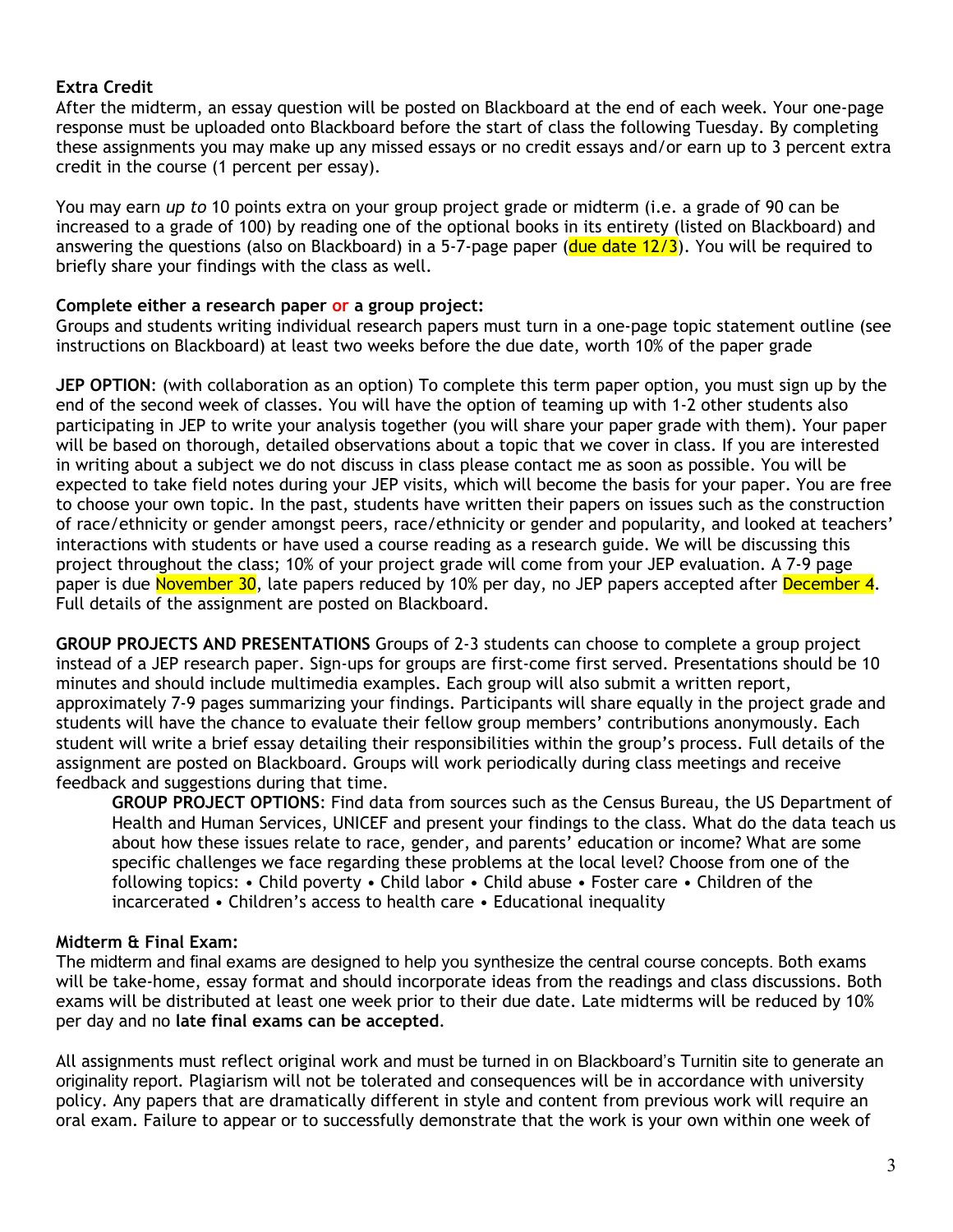# **Extra Credit**

After the midterm, an essay question will be posted on Blackboard at the end of each week. Your one-page response must be uploaded onto Blackboard before the start of class the following Tuesday. By completing these assignments you may make up any missed essays or no credit essays and/or earn up to 3 percent extra credit in the course (1 percent per essay).

You may earn *up to* 10 points extra on your group project grade or midterm (i.e. a grade of 90 can be increased to a grade of 100) by reading one of the optional books in its entirety (listed on Blackboard) and answering the questions (also on Blackboard) in a 5-7-page paper (due date 12/3). You will be required to briefly share your findings with the class as well.

### **Complete either a research paper or a group project:**

Groups and students writing individual research papers must turn in a one-page topic statement outline (see instructions on Blackboard) at least two weeks before the due date, worth 10% of the paper grade

**JEP OPTION**: (with collaboration as an option) To complete this term paper option, you must sign up by the end of the second week of classes. You will have the option of teaming up with 1-2 other students also participating in JEP to write your analysis together (you will share your paper grade with them). Your paper will be based on thorough, detailed observations about a topic that we cover in class. If you are interested in writing about a subject we do not discuss in class please contact me as soon as possible. You will be expected to take field notes during your JEP visits, which will become the basis for your paper. You are free to choose your own topic. In the past, students have written their papers on issues such as the construction of race/ethnicity or gender amongst peers, race/ethnicity or gender and popularity, and looked at teachers' interactions with students or have used a course reading as a research guide. We will be discussing this project throughout the class; 10% of your project grade will come from your JEP evaluation. A 7-9 page paper is due November 30, late papers reduced by 10% per day, no JEP papers accepted after December 4. Full details of the assignment are posted on Blackboard.

**GROUP PROJECTS AND PRESENTATIONS** Groups of 2-3 students can choose to complete a group project instead of a JEP research paper. Sign-ups for groups are first-come first served. Presentations should be 10 minutes and should include multimedia examples. Each group will also submit a written report, approximately 7-9 pages summarizing your findings. Participants will share equally in the project grade and students will have the chance to evaluate their fellow group members' contributions anonymously. Each student will write a brief essay detailing their responsibilities within the group's process. Full details of the assignment are posted on Blackboard. Groups will work periodically during class meetings and receive feedback and suggestions during that time.

**GROUP PROJECT OPTIONS**: Find data from sources such as the Census Bureau, the US Department of Health and Human Services, UNICEF and present your findings to the class. What do the data teach us about how these issues relate to race, gender, and parents' education or income? What are some specific challenges we face regarding these problems at the local level? Choose from one of the following topics: • Child poverty • Child labor • Child abuse • Foster care • Children of the incarcerated • Children's access to health care • Educational inequality

# **Midterm & Final Exam:**

The midterm and final exams are designed to help you synthesize the central course concepts. Both exams will be take-home, essay format and should incorporate ideas from the readings and class discussions. Both exams will be distributed at least one week prior to their due date. Late midterms will be reduced by 10% per day and no **late final exams can be accepted**.

All assignments must reflect original work and must be turned in on Blackboard's Turnitin site to generate an originality report. Plagiarism will not be tolerated and consequences will be in accordance with university policy. Any papers that are dramatically different in style and content from previous work will require an oral exam. Failure to appear or to successfully demonstrate that the work is your own within one week of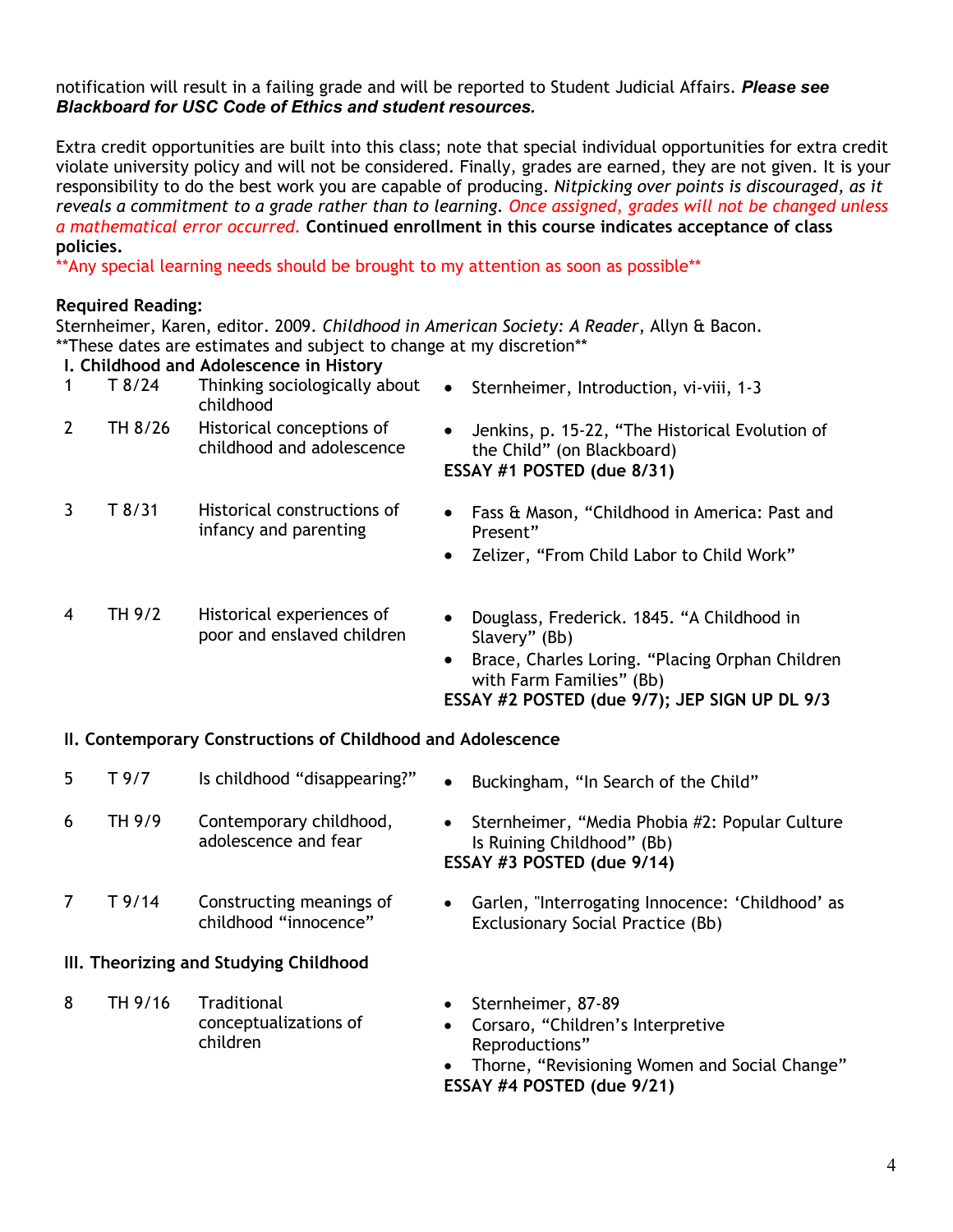### notification will result in a failing grade and will be reported to Student Judicial Affairs. *Please see Blackboard for USC Code of Ethics and student resources.*

Extra credit opportunities are built into this class; note that special individual opportunities for extra credit violate university policy and will not be considered. Finally, grades are earned, they are not given. It is your responsibility to do the best work you are capable of producing. *Nitpicking over points is discouraged, as it reveals a commitment to a grade rather than to learning. Once assigned, grades will not be changed unless a mathematical error occurred.* **Continued enrollment in this course indicates acceptance of class policies.**

\*\*Any special learning needs should be brought to my attention as soon as possible\*\*

# **Required Reading:**

Sternheimer, Karen, editor. 2009. *Childhood in American Society: A Reader*, Allyn & Bacon. \*\*These dates are estimates and subject to change at my discretion\*\*

# **I. Childhood and Adolescence in History**

children

| $\mathbf 1$    | T8/24   | Thinking sociologically about<br>childhood              | Sternheimer, Introduction, vi-viii, 1-3<br>$\bullet$                                                                                                                                                     |
|----------------|---------|---------------------------------------------------------|----------------------------------------------------------------------------------------------------------------------------------------------------------------------------------------------------------|
| $\overline{2}$ | TH 8/26 | Historical conceptions of<br>childhood and adolescence  | Jenkins, p. 15-22, "The Historical Evolution of<br>the Child" (on Blackboard)<br>ESSAY #1 POSTED (due 8/31)                                                                                              |
| 3              | T8/31   | Historical constructions of<br>infancy and parenting    | Fass & Mason, "Childhood in America: Past and<br>Present"<br>Zelizer, "From Child Labor to Child Work"<br>$\bullet$                                                                                      |
| $\overline{4}$ | TH 9/2  | Historical experiences of<br>poor and enslaved children | Douglass, Frederick. 1845. "A Childhood in<br>Slavery" (Bb)<br>Brace, Charles Loring. "Placing Orphan Children<br>$\bullet$<br>with Farm Families" (Bb)<br>ESSAY #2 POSTED (due 9/7); JEP SIGN UP DL 9/3 |

# **II. Contemporary Constructions of Childhood and Adolescence**

| 5                                      | T 9/7   | Is childhood "disappearing?"                      | Buckingham, "In Search of the Child"<br>$\bullet$                                                                       |
|----------------------------------------|---------|---------------------------------------------------|-------------------------------------------------------------------------------------------------------------------------|
| 6                                      | TH 9/9  | Contemporary childhood,<br>adolescence and fear   | Sternheimer, "Media Phobia #2: Popular Culture<br>$\bullet$<br>Is Ruining Childhood" (Bb)<br>ESSAY #3 POSTED (due 9/14) |
|                                        | T 9/14  | Constructing meanings of<br>childhood "innocence" | Garlen, "Interrogating Innocence: 'Childhood' as<br>$\bullet$<br><b>Exclusionary Social Practice (Bb)</b>               |
| III. Theorizing and Studying Childhood |         |                                                   |                                                                                                                         |
| 8                                      | TH 9/16 | Traditional<br>conceptualizations of              | Sternheimer, 87-89<br>$\bullet$<br>Corsaro, "Children's Interpretive<br>$\bullet$                                       |

- Corsaro, "Children's Interpretive Reproductions"
- Thorne, "Revisioning Women and Social Change" **ESSAY #4 POSTED (due 9/21)**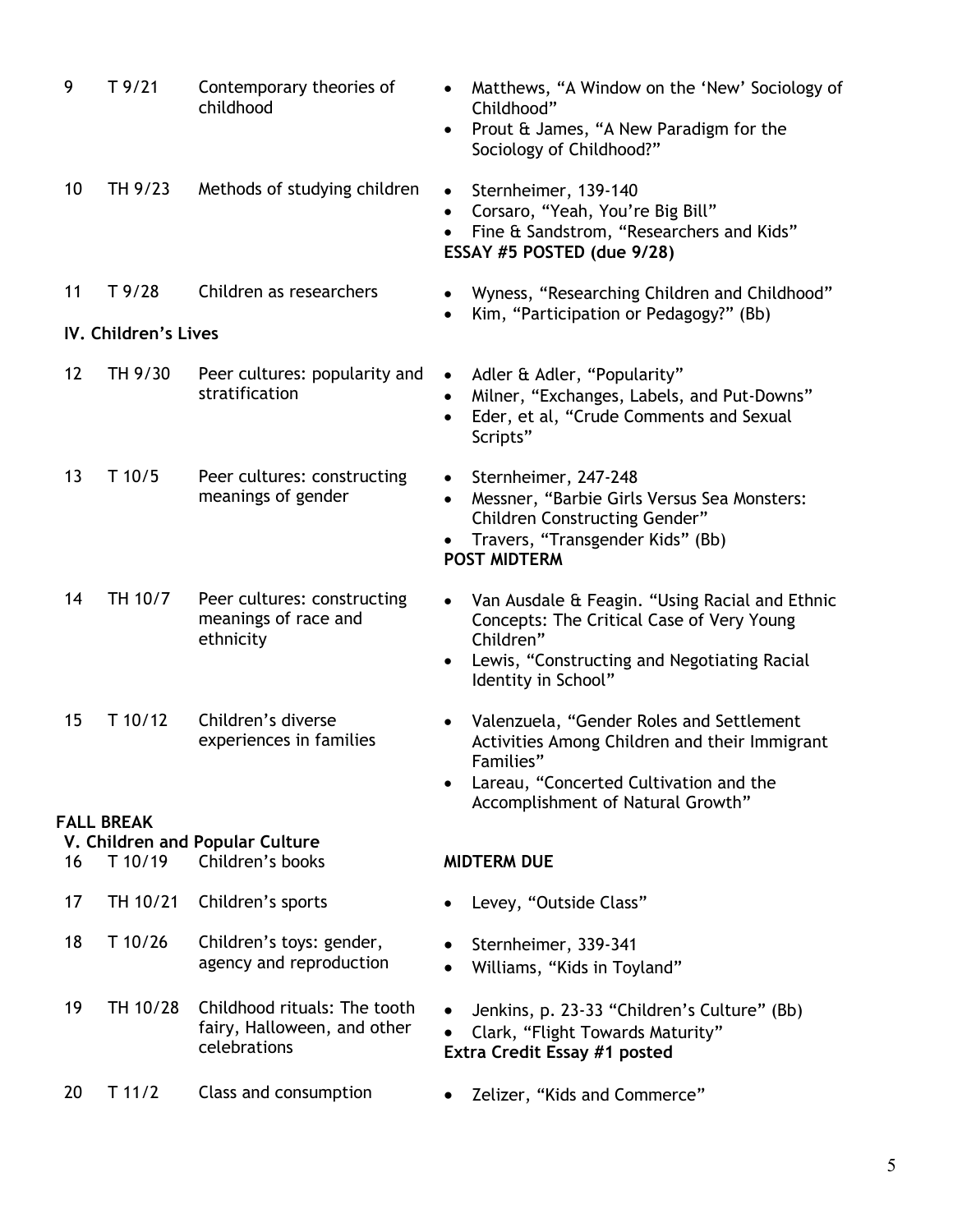| 9  | T9/21                | Contemporary theories of<br>childhood                                       | Matthews, "A Window on the 'New' Sociology of<br>Childhood"<br>Prout & James, "A New Paradigm for the<br>Sociology of Childhood?"                                                                        |
|----|----------------------|-----------------------------------------------------------------------------|----------------------------------------------------------------------------------------------------------------------------------------------------------------------------------------------------------|
| 10 | TH 9/23              | Methods of studying children                                                | Sternheimer, 139-140<br>$\bullet$<br>Corsaro, "Yeah, You're Big Bill"<br>Fine & Sandstrom, "Researchers and Kids"<br>ESSAY #5 POSTED (due 9/28)                                                          |
| 11 | T9/28                | Children as researchers                                                     | Wyness, "Researching Children and Childhood"<br>$\bullet$<br>Kim, "Participation or Pedagogy?" (Bb)                                                                                                      |
|    | IV. Children's Lives |                                                                             |                                                                                                                                                                                                          |
| 12 | TH 9/30              | Peer cultures: popularity and<br>stratification                             | Adler & Adler, "Popularity"<br>$\bullet$<br>Milner, "Exchanges, Labels, and Put-Downs"<br>Eder, et al, "Crude Comments and Sexual<br>Scripts"                                                            |
| 13 | $T$ 10/5             | Peer cultures: constructing<br>meanings of gender                           | Sternheimer, 247-248<br>Messner, "Barbie Girls Versus Sea Monsters:<br>$\bullet$<br><b>Children Constructing Gender"</b><br>Travers, "Transgender Kids" (Bb)<br><b>POST MIDTERM</b>                      |
| 14 | TH 10/7              | Peer cultures: constructing<br>meanings of race and<br>ethnicity            | Van Ausdale & Feagin. "Using Racial and Ethnic<br>$\bullet$<br>Concepts: The Critical Case of Very Young<br>Children"<br>Lewis, "Constructing and Negotiating Racial<br>$\bullet$<br>Identity in School" |
| 15 | $T$ 10/12            | Children's diverse<br>experiences in families                               | Valenzuela, "Gender Roles and Settlement<br>٠<br>Activities Among Children and their Immigrant<br>Families"<br>Lareau, "Concerted Cultivation and the<br>Accomplishment of Natural Growth"               |
|    | <b>FALL BREAK</b>    | V. Children and Popular Culture                                             |                                                                                                                                                                                                          |
| 16 | T 10/19              | Children's books                                                            | <b>MIDTERM DUE</b>                                                                                                                                                                                       |
| 17 | TH 10/21             | Children's sports                                                           | Levey, "Outside Class"                                                                                                                                                                                   |
| 18 | T 10/26              | Children's toys: gender,<br>agency and reproduction                         | Sternheimer, 339-341<br>Williams, "Kids in Toyland"                                                                                                                                                      |
| 19 | TH 10/28             | Childhood rituals: The tooth<br>fairy, Halloween, and other<br>celebrations | Jenkins, p. 23-33 "Children's Culture" (Bb)<br>Clark, "Flight Towards Maturity"<br>Extra Credit Essay #1 posted                                                                                          |
| 20 | $T$ 11/2             | Class and consumption                                                       | Zelizer, "Kids and Commerce"                                                                                                                                                                             |